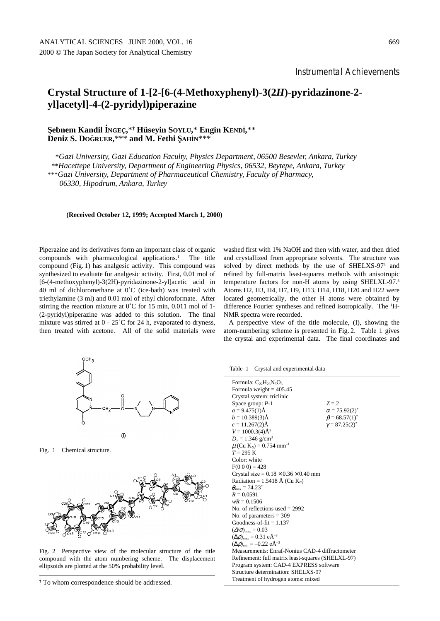## **Crystal Structure of 1-[2-[6-(4-Methoxyphenyl)-3(2***H***)-pyridazinone-2 yl]acetyl]-4-(2-pyridyl)piperazine**

## **S¸ebnem Kandil I˙NGEÇ,**\***† Hüseyin SOYLU,**\* **Engin KENDI˙,**\*\* Deniz S. DOĞRUER,\*\*\* and M. Fethi ŞAHİN\*\*\*

\**Gazi University, Gazi Education Faculty, Physics Department, 06500 Besevler, Ankara, Turkey*

\*\**Hacettepe University, Department of Engineering Physics, 06532, Beytepe, Ankara, Turkey*

\*\*\**Gazi University, Department of Pharmaceutical Chemistry, Faculty of Pharmacy,* 

*06330, Hipodrum, Ankara, Turkey*

**(Received October 12, 1999; Accepted March 1, 2000)**

Piperazine and its derivatives form an important class of organic compounds with pharmacological applications.1 The title compound (Fig. 1) has analgesic activity. This compound was synthesized to evaluate for analgesic activity. First, 0.01 mol of [6-(4-methoxyphenyl)-3(2H)-pyridazinone-2-yl]acetic acid in 40 ml of dichloromethane at 0˚C (ice-bath) was treated with triethylamine (3 ml) and 0.01 mol of ethyl chloroformate. After stirring the reaction mixture at 0˚C for 15 min, 0.011 mol of 1- (2-pyridyl)piperazine was added to this solution. The final mixture was stirred at  $0 - 25^{\circ}$ C for 24 h, evaporated to dryness, then treated with acetone. All of the solid materials were



A perspective view of the title molecule, (I), showing the atom-numbering scheme is presented in Fig. 2. Table 1 gives the crystal and experimental data. The final coordinates and

Table 1 Crystal and experimental data

| Formula: $C_{22}H_{23}N_5O_3$                               |                                 |  |  |  |  |
|-------------------------------------------------------------|---------------------------------|--|--|--|--|
| Formula weight = $405.45$                                   |                                 |  |  |  |  |
| Crystal system: triclinic                                   |                                 |  |  |  |  |
| Space group: $P-1$                                          | $Z = 2$                         |  |  |  |  |
| $a = 9.475(1)\text{\AA}$                                    | $\alpha = 75.92(2)^{\circ}$     |  |  |  |  |
| $b = 10.389(3)$ Å                                           | $\beta$ = 68.57(1) <sup>°</sup> |  |  |  |  |
| $c = 11.267(2)$ Å                                           | $\gamma = 87.25(2)^{\circ}$     |  |  |  |  |
| $V = 1000.3(4)$ Å <sup>3</sup>                              |                                 |  |  |  |  |
| $D_x = 1.346$ g/cm <sup>3</sup>                             |                                 |  |  |  |  |
| $\mu$ (Cu K <sub>o</sub> ) = 0.754 mm <sup>-1</sup>         |                                 |  |  |  |  |
| $T = 295 K$                                                 |                                 |  |  |  |  |
| Color: white                                                |                                 |  |  |  |  |
| $F(0 0 0) = 428$                                            |                                 |  |  |  |  |
| Crystal size = $0.18 \times 0.36 \times 0.40$ mm            |                                 |  |  |  |  |
| Radiation = 1.5418 Å (Cu $K_{\alpha}$ )                     |                                 |  |  |  |  |
| $\theta_{\rm max} = 74.23^{\circ}$                          |                                 |  |  |  |  |
| $R = 0.0591$                                                |                                 |  |  |  |  |
| $wR = 0.1506$                                               |                                 |  |  |  |  |
| No. of reflections used $= 2992$                            |                                 |  |  |  |  |
| No. of parameters $=$ 309                                   |                                 |  |  |  |  |
| Goodness-of-fit $= 1.137$                                   |                                 |  |  |  |  |
| $(\Delta/\sigma)_{\text{max}} = 0.03$                       |                                 |  |  |  |  |
| $(\Delta \rho)_{\text{max}} = 0.31 \text{ eA}^{-3}$         |                                 |  |  |  |  |
| $(\Delta \rho)_{\rm min} = -0.22 \text{ e} \text{\AA}^{-3}$ |                                 |  |  |  |  |
| Measurements: Enraf-Nonius CAD-4 diffractometer             |                                 |  |  |  |  |
| Refinement: full matrix least-squares (SHELXL-97)           |                                 |  |  |  |  |
| Program system: CAD-4 EXPRESS software                      |                                 |  |  |  |  |
| Structure determination: SHELXS-97                          |                                 |  |  |  |  |
| Treatment of hydrogen atoms: mixed                          |                                 |  |  |  |  |
|                                                             |                                 |  |  |  |  |

 $(1)$ 

Fig. 1 Chemical structure.



Fig. 2 Perspective view of the molecular structure of the title compound with the atom numbering scheme. The displacement ellipsoids are plotted at the 50% probability level.

**<sup>†</sup>** To whom correspondence should be addressed.